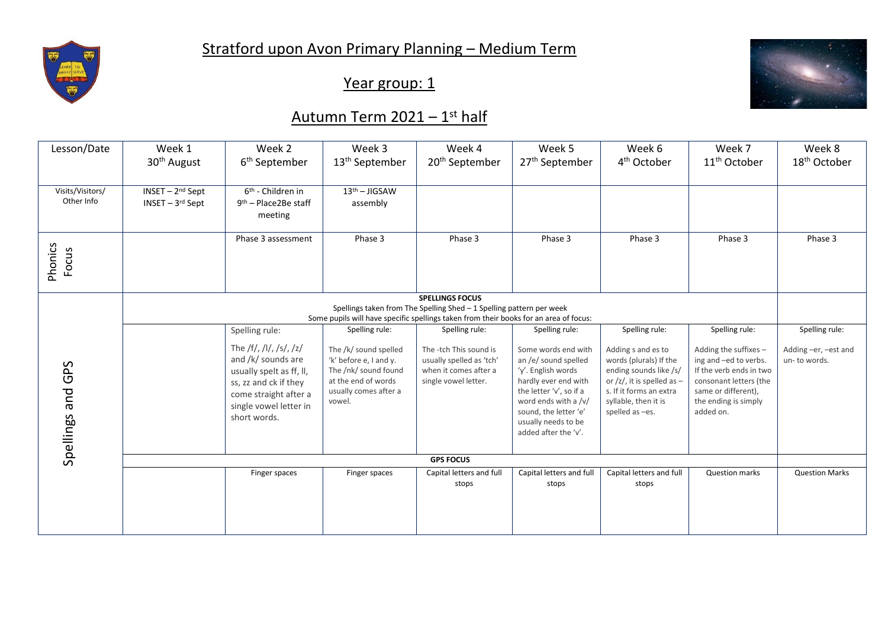

Year group: 1



## <u>Autumn Term 2021 – 1<sup>st</sup> half</u>

| Lesson/Date      | Week 1                                                                                                                                                        | Week 2                                 | Week 3                                      | Week 4                                        | Week 5                                          | Week 6                                                          | Week 7                                        | Week 8                   |  |
|------------------|---------------------------------------------------------------------------------------------------------------------------------------------------------------|----------------------------------------|---------------------------------------------|-----------------------------------------------|-------------------------------------------------|-----------------------------------------------------------------|-----------------------------------------------|--------------------------|--|
|                  | 30 <sup>th</sup> August                                                                                                                                       | 6 <sup>th</sup> September              | 13 <sup>th</sup> September                  | 20 <sup>th</sup> September                    | 27 <sup>th</sup> September                      | 4 <sup>th</sup> October                                         | 11 <sup>th</sup> October                      | 18 <sup>th</sup> October |  |
|                  |                                                                                                                                                               |                                        |                                             |                                               |                                                 |                                                                 |                                               |                          |  |
| Visits/Visitors/ | INSET - 2nd Sept                                                                                                                                              | $\overline{6^{th}}$ - Children in      | $13th - JIGSAW$                             |                                               |                                                 |                                                                 |                                               |                          |  |
| Other Info       | $INSET - 3rd Sept$                                                                                                                                            | $9th$ – Place 2Be staff                | assembly                                    |                                               |                                                 |                                                                 |                                               |                          |  |
|                  |                                                                                                                                                               | meeting                                |                                             |                                               |                                                 |                                                                 |                                               |                          |  |
|                  |                                                                                                                                                               | Phase 3 assessment                     | Phase 3                                     | Phase 3                                       | Phase 3                                         | Phase 3                                                         | Phase 3                                       | Phase 3                  |  |
| Phonics          |                                                                                                                                                               |                                        |                                             |                                               |                                                 |                                                                 |                                               |                          |  |
| Focus            |                                                                                                                                                               |                                        |                                             |                                               |                                                 |                                                                 |                                               |                          |  |
|                  |                                                                                                                                                               |                                        |                                             |                                               |                                                 |                                                                 |                                               |                          |  |
|                  | <b>SPELLINGS FOCUS</b>                                                                                                                                        |                                        |                                             |                                               |                                                 |                                                                 |                                               |                          |  |
|                  | Spellings taken from The Spelling Shed - 1 Spelling pattern per week<br>Some pupils will have specific spellings taken from their books for an area of focus: |                                        |                                             |                                               |                                                 |                                                                 |                                               |                          |  |
|                  |                                                                                                                                                               |                                        |                                             |                                               |                                                 |                                                                 |                                               |                          |  |
|                  |                                                                                                                                                               | Spelling rule:                         | Spelling rule:                              | Spelling rule:                                | Spelling rule:                                  | Spelling rule:                                                  | Spelling rule:                                | Spelling rule:           |  |
|                  |                                                                                                                                                               | The /f/, /l/, /s/, /z/                 | The /k/ sound spelled                       | The -tch This sound is                        | Some words end with                             | Adding s and es to                                              | Adding the suffixes -                         | Adding -er, -est and     |  |
|                  |                                                                                                                                                               | and /k/ sounds are                     | 'k' before e, I and y.                      | usually spelled as 'tch'                      | an /e/ sound spelled                            | words (plurals) If the                                          | ing and -ed to verbs.                         | un-to words.             |  |
| GPS              |                                                                                                                                                               | usually spelt as ff, ll,               | The /nk/ sound found<br>at the end of words | when it comes after a<br>single vowel letter. | 'y'. English words                              | ending sounds like /s/<br>or $\frac{z}{z}$ , it is spelled as - | If the verb ends in two                       |                          |  |
|                  |                                                                                                                                                               | ss, zz and ck if they                  | usually comes after a                       |                                               | hardly ever end with<br>the letter 'v', so if a | s. If it forms an extra                                         | consonant letters (the<br>same or different), |                          |  |
|                  |                                                                                                                                                               | come straight after a                  | vowel.                                      |                                               | word ends with a /v/                            | syllable, then it is                                            | the ending is simply                          |                          |  |
|                  |                                                                                                                                                               | single vowel letter in<br>short words. |                                             |                                               | sound, the letter 'e'                           | spelled as -es.                                                 | added on.                                     |                          |  |
|                  |                                                                                                                                                               |                                        |                                             |                                               | usually needs to be                             |                                                                 |                                               |                          |  |
|                  |                                                                                                                                                               |                                        |                                             |                                               | added after the 'v'.                            |                                                                 |                                               |                          |  |
| Spellings and    |                                                                                                                                                               |                                        |                                             |                                               |                                                 |                                                                 |                                               |                          |  |
|                  | <b>GPS FOCUS</b>                                                                                                                                              |                                        |                                             |                                               |                                                 |                                                                 |                                               |                          |  |
|                  |                                                                                                                                                               | Finger spaces                          | Finger spaces                               | Capital letters and full                      | Capital letters and full                        | Capital letters and full                                        | <b>Question marks</b>                         | <b>Question Marks</b>    |  |
|                  |                                                                                                                                                               |                                        |                                             | stops                                         | stops                                           | stops                                                           |                                               |                          |  |
|                  |                                                                                                                                                               |                                        |                                             |                                               |                                                 |                                                                 |                                               |                          |  |
|                  |                                                                                                                                                               |                                        |                                             |                                               |                                                 |                                                                 |                                               |                          |  |
|                  |                                                                                                                                                               |                                        |                                             |                                               |                                                 |                                                                 |                                               |                          |  |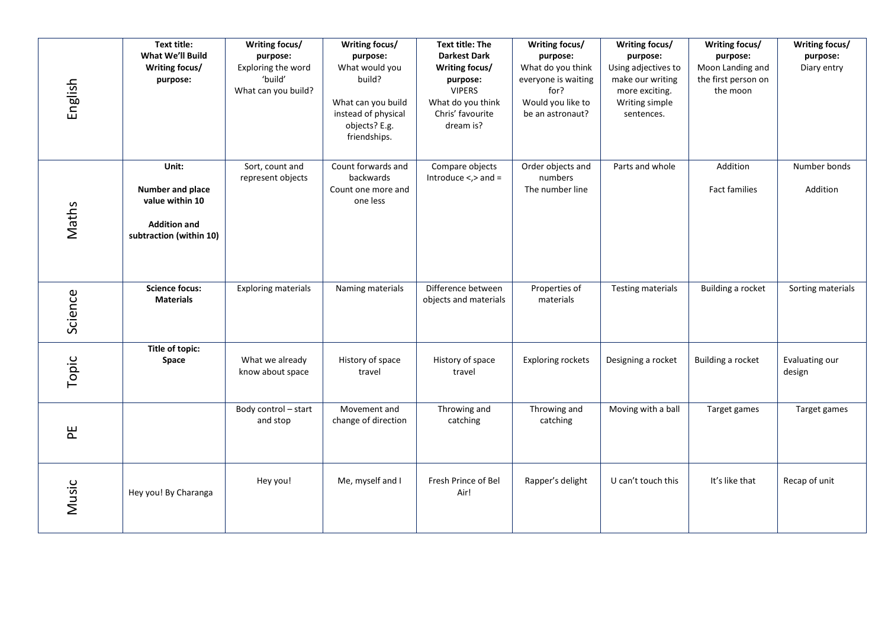| English | Text title:<br>What We'll Build<br>Writing focus/<br>purpose:                                  | Writing focus/<br>purpose:<br>Exploring the word<br>'build'<br>What can you build? | Writing focus/<br>purpose:<br>What would you<br>build?<br>What can you build<br>instead of physical<br>objects? E.g.<br>friendships. | <b>Text title: The</b><br><b>Darkest Dark</b><br>Writing focus/<br>purpose:<br><b>VIPERS</b><br>What do you think<br>Chris' favourite<br>dream is? | Writing focus/<br>purpose:<br>What do you think<br>everyone is waiting<br>for?<br>Would you like to<br>be an astronaut? | Writing focus/<br>purpose:<br>Using adjectives to<br>make our writing<br>more exciting.<br>Writing simple<br>sentences. | Writing focus/<br>purpose:<br>Moon Landing and<br>the first person on<br>the moon | Writing focus/<br>purpose:<br>Diary entry |
|---------|------------------------------------------------------------------------------------------------|------------------------------------------------------------------------------------|--------------------------------------------------------------------------------------------------------------------------------------|----------------------------------------------------------------------------------------------------------------------------------------------------|-------------------------------------------------------------------------------------------------------------------------|-------------------------------------------------------------------------------------------------------------------------|-----------------------------------------------------------------------------------|-------------------------------------------|
| Maths   | Unit:<br>Number and place<br>value within 10<br><b>Addition and</b><br>subtraction (within 10) | Sort, count and<br>represent objects                                               | Count forwards and<br>backwards<br>Count one more and<br>one less                                                                    | Compare objects<br>Introduce $\lt$ , $>$ and $=$                                                                                                   | Order objects and<br>numbers<br>The number line                                                                         | Parts and whole                                                                                                         | Addition<br><b>Fact families</b>                                                  | Number bonds<br>Addition                  |
| Science | <b>Science focus:</b><br><b>Materials</b>                                                      | <b>Exploring materials</b>                                                         | Naming materials                                                                                                                     | Difference between<br>objects and materials                                                                                                        | Properties of<br>materials                                                                                              | <b>Testing materials</b>                                                                                                | Building a rocket                                                                 | Sorting materials                         |
| Topic   | Title of topic:<br>Space                                                                       | What we already<br>know about space                                                | History of space<br>travel                                                                                                           | History of space<br>travel                                                                                                                         | <b>Exploring rockets</b>                                                                                                | Designing a rocket                                                                                                      | Building a rocket                                                                 | Evaluating our<br>design                  |
| E       |                                                                                                | Body control - start<br>and stop                                                   | Movement and<br>change of direction                                                                                                  | Throwing and<br>catching                                                                                                                           | Throwing and<br>catching                                                                                                | Moving with a ball                                                                                                      | Target games                                                                      | Target games                              |
| Music   | Hey you! By Charanga                                                                           | Hey you!                                                                           | Me, myself and I                                                                                                                     | Fresh Prince of Bel<br>Air!                                                                                                                        | Rapper's delight                                                                                                        | U can't touch this                                                                                                      | It's like that                                                                    | Recap of unit                             |